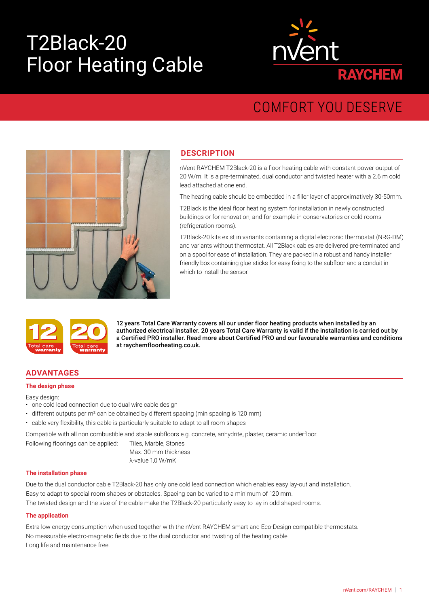# T2Black-20 Floor Heating Cable



# COMFORT YOU DESERVE



# **DESCRIPTION**

nVent RAYCHEM T2Black-20 is a floor heating cable with constant power output of 20 W/m. It is a pre-terminated, dual conductor and twisted heater with a 2.6 m cold lead attached at one end.

The heating cable should be embedded in a filler layer of approximatively 30-50mm.

T2Black is the ideal floor heating system for installation in newly constructed buildings or for renovation, and for example in conservatories or cold rooms (refrigeration rooms).

T2Black-20 kits exist in variants containing a digital electronic thermostat (NRG-DM) and variants without thermostat. All T2Black cables are delivered pre-terminated and on a spool for ease of installation. They are packed in a robust and handy installer friendly box containing glue sticks for easy fixing to the subfloor and a conduit in which to install the sensor.



12 years Total Care Warranty covers all our under floor heating products when installed by an authorized electrical installer. 20 years Total Care Warranty is valid if the installation is carried out by a Certified PRO installer. Read more about Certified PRO and our favourable warranties and conditions at raychemfloorheating.co.uk.

# **ADVANTAGES**

#### **The design phase**

Easy design:

- one cold lead connection due to dual wire cable design
- different outputs per m² can be obtained by different spacing (min spacing is 120 mm)
- cable very flexibility, this cable is particularly suitable to adapt to all room shapes

Compatible with all non combustible and stable subfloors e.g. concrete, anhydrite, plaster, ceramic underfloor.

| Tiles, Marble, Stones |
|-----------------------|
| Max. 30 mm thickness  |
| λ-value 1,0 W/mK      |

#### **The installation phase**

Following floorings can be applied:

Due to the dual conductor cable T2Black-20 has only one cold lead connection which enables easy lay-out and installation. Easy to adapt to special room shapes or obstacles. Spacing can be varied to a minimum of 120 mm.

The twisted design and the size of the cable make the T2Black-20 particularly easy to lay in odd shaped rooms.

#### **The application**

Extra low energy consumption when used together with the nVent RAYCHEM smart and Eco-Design compatible thermostats. No measurable electro-magnetic fields due to the dual conductor and twisting of the heating cable. Long life and maintenance free.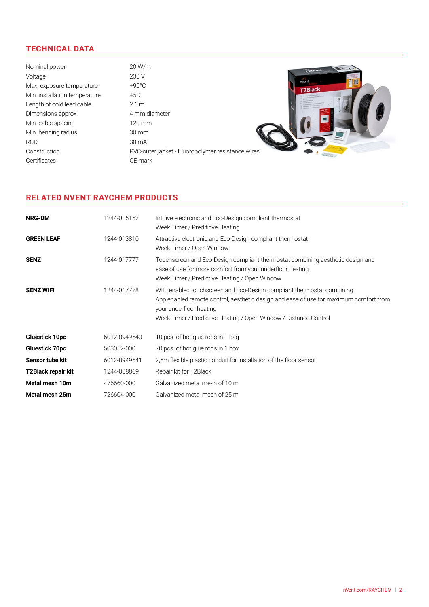# **TECHNICAL DATA**

Nominal power 20 W/m Voltage 230 V nvent Max. exposure temperature  $+90^{\circ}$ C T2Black Min. installation temperature  $+5^{\circ}$ C Length of cold lead cable 2.6 m Dimensions approx 4 mm diameter Min. cable spacing 120 mm Min. bending radius 30 mm RCD 30 mA Construction PVC-outer jacket - Fluoropolymer resistance wires Certificates CE-mark

# **RELATED NVENT RAYCHEM PRODUCTS**

| <b>NRG-DM</b>         | 1244-015152  | Intuive electronic and Eco-Design compliant thermostat<br>Week Timer / Prediticve Heating                                                                                                                                                                      |
|-----------------------|--------------|----------------------------------------------------------------------------------------------------------------------------------------------------------------------------------------------------------------------------------------------------------------|
| <b>GREEN LEAF</b>     | 1244-013810  | Attractive electronic and Eco-Design compliant thermostat<br>Week Timer / Open Window                                                                                                                                                                          |
| <b>SENZ</b>           | 1244-017777  | Touchscreen and Eco-Design compliant thermostat combining aesthetic design and<br>ease of use for more comfort from your underfloor heating<br>Week Timer / Predictive Heating / Open Window                                                                   |
| <b>SENZ WIFI</b>      | 1244-017778  | WIFI enabled touchscreen and Eco-Design compliant thermostat combining<br>App enabled remote control, aesthetic design and ease of use for maximum comfort from<br>your underfloor heating<br>Week Timer / Predictive Heating / Open Window / Distance Control |
| <b>Gluestick 10pc</b> | 6012-8949540 | 10 pcs. of hot glue rods in 1 bag                                                                                                                                                                                                                              |
| <b>Gluestick 70pc</b> | 503052-000   | 70 pcs. of hot glue rods in 1 box                                                                                                                                                                                                                              |
| Sensor tube kit       | 6012-8949541 | 2,5m flexible plastic conduit for installation of the floor sensor                                                                                                                                                                                             |
| T2Black repair kit    | 1244-008869  | Repair kit for T2Black                                                                                                                                                                                                                                         |
| Metal mesh 10m        | 476660-000   | Galvanized metal mesh of 10 m                                                                                                                                                                                                                                  |
| Metal mesh 25m        | 726604-000   | Galvanized metal mesh of 25 m                                                                                                                                                                                                                                  |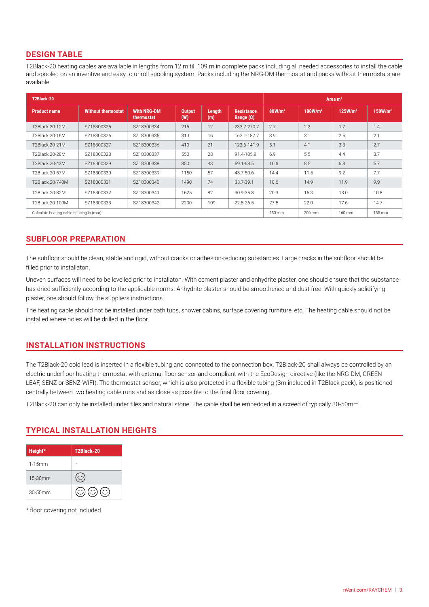# **DESIGN TABLE**

T2Black-20 heating cables are available in lengths from 12 m till 109 m in complete packs including all needed accessories to install the cable and spooled on an inventive and easy to unroll spooling system. Packs including the NRG-DM thermostat and packs without thermostats are available.

| T2Black-20                               |                           |                                  |                      |               |                                       | Area $m2$          |                     |                     |                     |
|------------------------------------------|---------------------------|----------------------------------|----------------------|---------------|---------------------------------------|--------------------|---------------------|---------------------|---------------------|
| <b>Product name</b>                      | <b>Without thermostat</b> | <b>With NRG-DM</b><br>thermostat | <b>Output</b><br>(W) | Length<br>(m) | <b>Resistance</b><br>Range $(\Omega)$ | 80W/m <sup>2</sup> | 100W/m <sup>2</sup> | 125W/m <sup>2</sup> | 150W/m <sup>2</sup> |
| <b>T2Black 20-12M</b>                    | SZ18300325                | SZ18300334                       | 215                  | 12            | 233.7-270.7                           | 2.7                | 2.2                 | 1.7                 | 1.4                 |
| T2Black 20-16M                           | SZ18300326                | SZ18300335                       | 310                  | 16            | 162.1-187.7                           | 3.9                | 3.1                 | 2.5                 | 2.1                 |
| T2Black 20-21M                           | SZ18300327                | SZ18300336                       | 410                  | 21            | 122.6-141.9                           | 5.1                | 4.1                 | 3.3                 | 2.7                 |
| T2Black 20-28M                           | SZ18300328                | SZ18300337                       | 550                  | 28            | 91.4-105.8                            | 6.9                | 5.5                 | 4.4                 | 3.7                 |
| T2Black 20-43M                           | SZ18300329                | SZ18300338                       | 850                  | 43            | 59.1-68.5                             | 10.6               | 8.5                 | 6.8                 | 5.7                 |
| T2Black 20-57M                           | SZ18300330                | SZ18300339                       | 1150                 | 57            | 43.7-50.6                             | 14.4               | 11.5                | 9.2                 | 7.7                 |
| T2Black 20-740M                          | SZ18300331                | SZ18300340                       | 1490                 | 74            | 33.7-39.1                             | 18.6               | 14.9                | 11.9                | 9.9                 |
| T2Black 20-82M                           | SZ18300332                | SZ18300341                       | 1625                 | 82            | 30.9-35.8                             | 20.3               | 16.3                | 13.0                | 10.8                |
| T2Black 20-109M                          | SZ18300333                | SZ18300342                       | 2200                 | 109           | 22.8-26.5                             | 27.5               | 22.0                | 17.6                | 14.7                |
| Calculate heating cable spacing in (mm): |                           |                                  |                      |               |                                       | 250 mm             | 200 mm              | 160 mm              | 135 mm              |

# **SUBFLOOR PREPARATION**

The subfloor should be clean, stable and rigid, without cracks or adhesion-reducing substances. Large cracks in the subfloor should be filled prior to installaton.

Uneven surfaces will need to be levelled prior to installaton. With cement plaster and anhydrite plaster, one should ensure that the substance has dried sufficiently according to the applicable norms. Anhydrite plaster should be smoothened and dust free. With quickly solidifying plaster, one should follow the suppliers instructions.

The heating cable should not be installed under bath tubs, shower cabins, surface covering furniture, etc. The heating cable should not be installed where holes will be drilled in the floor.

# **INSTALLATION INSTRUCTIONS**

The T2Black-20 cold lead is inserted in a flexible tubing and connected to the connection box. T2Black-20 shall always be controlled by an electric underfloor heating thermostat with external floor sensor and compliant with the EcoDesign directive (like the NRG-DM, GREEN LEAF, SENZ or SENZ-WIFI). The thermostat sensor, which is also protected in a flexible tubing (3m included in T2Black pack), is positioned centrally between two heating cable runs and as close as possible to the final floor covering.

T2Black-20 can only be installed under tiles and natural stone. The cable shall be embedded in a screed of typically 30-50mm.

# **TYPICAL INSTALLATION HEIGHTS**

| Height*    | T2Black-20               |
|------------|--------------------------|
| $1-15$ mm  |                          |
| 15-30mm    |                          |
| $30-50$ mm | .∘∘.∖<br>$\circ$ $\circ$ |

\* floor covering not included